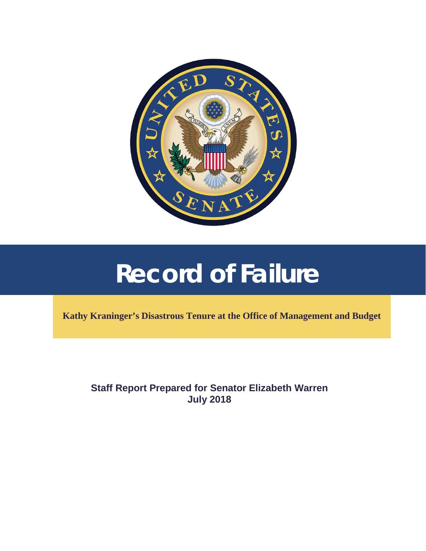

# **Record of Failure**

**Kathy Kraninger's Disastrous Tenure at the Office of Management and Budget** 

**Staff Report Prepared for Senator Elizabeth Warren July 2018**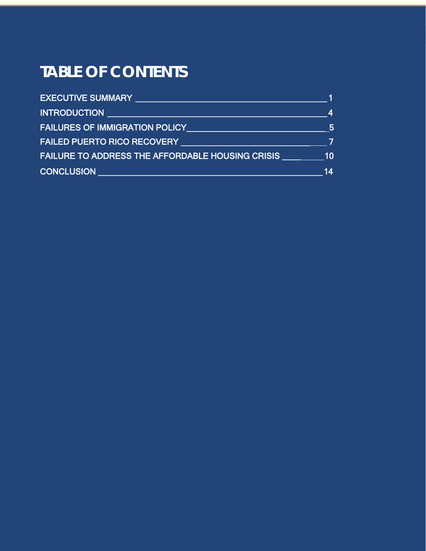## **TABLE OF CONTENTS**

| <b>EXECUTIVE SUMMARY</b>                                |    |
|---------------------------------------------------------|----|
| <b>INTRODUCTION</b>                                     | Δ  |
| <b>FAILURES OF IMMIGRATION POLICY</b>                   | 5  |
| <b>FAILED PUERTO RICO RECOVERY</b>                      |    |
| <b>FAILURE TO ADDRESS THE AFFORDABLE HOUSING CRISIS</b> | 10 |
| <b>CONCLUSION</b>                                       | 14 |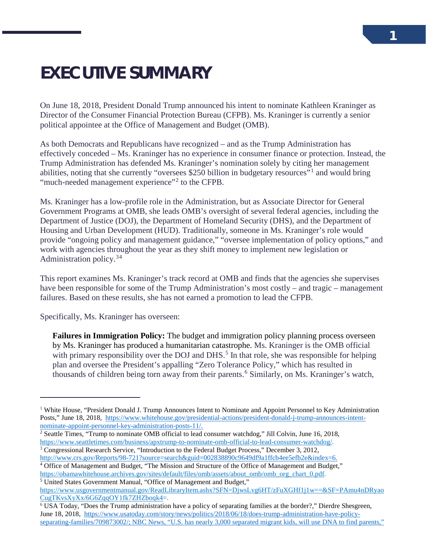## <span id="page-2-0"></span>**EXECUTIVE SUMMARY**

On June 18, 2018, President Donald Trump announced his intent to nominate Kathleen Kraninger as Director of the Consumer Financial Protection Bureau (CFPB). Ms. Kraninger is currently a senior political appointee at the Office of Management and Budget (OMB).

As both Democrats and Republicans have recognized – and as the Trump Administration has effectively conceded – Ms. Kraninger has no experience in consumer finance or protection. Instead, the Trump Administration has defended Ms. Kraninger's nomination solely by citing her management abilities, noting that she currently "oversees \$250 billion in budgetary resources"[1](#page-2-1) and would bring "much-needed management experience"<sup>[2](#page-2-2)</sup> to the CFPB.

Ms. Kraninger has a low-profile role in the Administration, but as Associate Director for General Government Programs at OMB, she leads OMB's oversight of several federal agencies, including the Department of Justice (DOJ), the Department of Homeland Security (DHS), and the Department of Housing and Urban Development (HUD). Traditionally, someone in Ms. Kraninger's role would provide "ongoing policy and management guidance," "oversee implementation of policy options," and work with agencies throughout the year as they shift money to implement new legislation or Administration policy.<sup>[3](#page-2-3)[4](#page-2-4)</sup>

This report examines Ms. Kraninger's track record at OMB and finds that the agencies she supervises have been responsible for some of the Trump Administration's most costly – and tragic – management failures. Based on these results, she has not earned a promotion to lead the CFPB.

Specifically, Ms. Kraninger has overseen:

 $\overline{a}$ 

**Failures in Immigration Policy:** The budget and immigration policy planning process overseen by Ms. Kraninger has produced a humanitarian catastrophe. Ms. Kraninger is the OMB official with primary responsibility over the DOJ and DHS.<sup>[5](#page-2-5)</sup> In that role, she was responsible for helping plan and oversee the President's appalling "Zero Tolerance Policy," which has resulted in thousands of children being torn away from their parents.<sup>[6](#page-2-6)</sup> Similarly, on Ms. Kraninger's watch,

- <span id="page-2-2"></span><sup>2</sup> Seattle Times, "Trump to nominate OMB official to lead consumer watchdog," Jill Colvin, June 16, 2018, https://www.seattletimes.com/business/apxtrump-to-nominate-omb-official-to-lead-consumer-watchdog/.
- <span id="page-2-3"></span><sup>3</sup> Congressional Research Service, "Introduction to the Federal Budget Process," December 3, 2012,

<span id="page-2-1"></span><sup>&</sup>lt;sup>1</sup> White House, "President Donald J. Trump Announces Intent to Nominate and Appoint Personnel to Key Administration Posts," June 18, 2018, https://www.whitehouse.gov/presidential-actions/president-donald-j-trump-announces-intent-<br>nominate-appoint-personnel-key-administration-posts-11/.

<span id="page-2-4"></span>[http://www.crs.gov/Reports/98-721?source=search&guid=002838890c9649df9a1ffcb4ee5efb2e&index=6.](http://www.crs.gov/Reports/98-721?source=search&guid=002838890c9649df9a1ffcb4ee5efb2e&index=6)<br><sup>4</sup> Office of Management and Budget, "The Mission and Structure of the Office of Management and Budget," [https://obamawhitehouse.archives.gov/sites/default/files/omb/assets/about\\_omb/omb\\_org\\_chart\\_0.pdf.](https://obamawhitehouse.archives.gov/sites/default/files/omb/assets/about_omb/omb_org_chart_0.pdf) 5 United States Government Manual, "Office of Management and Budget,"

<span id="page-2-5"></span>[https://www.usgovernmentmanual.gov/ReadLibraryItem.ashx?SFN=DjwsLvg6HT/zFuXGHf1j1w==&SF=PAmu4nDRyao](https://www.usgovernmentmanual.gov/ReadLibraryItem.ashx?SFN=DjwsLvg6HT/zFuXGHf1j1w==&SF=PAmu4nDRyaoCugTKvsXyXx/6G6ZqqOY1fk7ZHZboqk4) [CugTKvsXyXx/6G6ZqqOY1fk7ZHZboqk4=](https://www.usgovernmentmanual.gov/ReadLibraryItem.ashx?SFN=DjwsLvg6HT/zFuXGHf1j1w==&SF=PAmu4nDRyaoCugTKvsXyXx/6G6ZqqOY1fk7ZHZboqk4).

<span id="page-2-6"></span><sup>6</sup> USA Today, "Does the Trump administration have a policy of separating families at the border?," Dierdre Shesgreen, June 18, 2018, [https://www.usatoday.com/story/news/politics/2018/06/18/does-trump-administration-have-policy](https://www.usatoday.com/story/news/politics/2018/06/18/does-trump-administration-have-policy-separating-families/709873002/)[separating-families/709873002/;](https://www.usatoday.com/story/news/politics/2018/06/18/does-trump-administration-have-policy-separating-families/709873002/) NBC News, "U.S. has nearly 3,000 separated migrant kids, will use DNA to find parents,"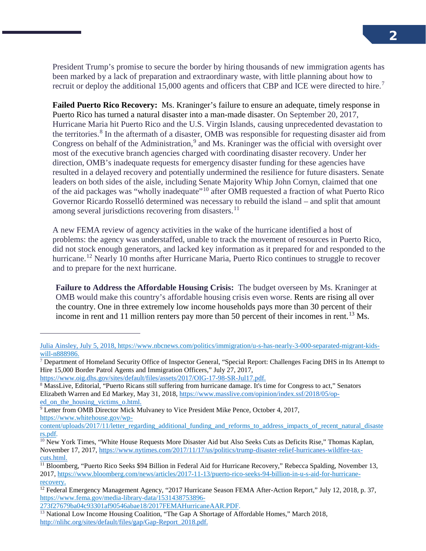President Trump's promise to secure the border by hiring thousands of new immigration agents has been marked by a lack of preparation and extraordinary waste, with little planning about how to recruit or deploy the additional 15,000 agents and officers that CBP and ICE were directed to hire.<sup>[7](#page-3-0)</sup>

**Failed Puerto Rico Recovery:** Ms. Kraninger's failure to ensure an adequate, timely response in Puerto Rico has turned a natural disaster into a man-made disaster. On September 20, 2017, Hurricane Maria hit Puerto Rico and the U.S. Virgin Islands, causing unprecedented devastation to the territories.<sup>[8](#page-3-1)</sup> In the aftermath of a disaster, OMB was responsible for requesting disaster aid from Congress on behalf of the Administration, $9$  and Ms. Kraninger was the official with oversight over most of the executive branch agencies charged with coordinating disaster recovery. Under her direction, OMB's inadequate requests for emergency disaster funding for these agencies have resulted in a delayed recovery and potentially undermined the resilience for future disasters. Senate leaders on both sides of the aisle, including Senate Majority Whip John Cornyn, claimed that one of the aid packages was "wholly inadequate"[10](#page-3-3) after OMB requested a fraction of what Puerto Rico Governor Ricardo Rosselló determined was necessary to rebuild the island – and split that amount among several jurisdictions recovering from disasters.<sup>[11](#page-3-4)</sup>

A new FEMA review of agency activities in the wake of the hurricane identified a host of problems: the agency was understaffed, unable to track the movement of resources in Puerto Rico, did not stock enough generators, and lacked key information as it prepared for and responded to the hurricane.<sup>[12](#page-3-5)</sup> Nearly 10 months after Hurricane Maria, Puerto Rico continues to struggle to recover and to prepare for the next hurricane.

**Failure to Address the Affordable Housing Crisis:** The budget overseen by Ms. Kraninger at OMB would make this country's affordable housing crisis even worse. Rents are rising all over the country. One in three extremely low income households pays more than 30 percent of their income in rent and 11 million renters pay more than 50 percent of their incomes in rent.<sup>[13](#page-3-6)</sup> Ms.

Julia Ainsley, July 5, 2018, [https://www.nbcnews.com/politics/immigration/u-s-has-nearly-3-000-separated-migrant-kids-](https://www.nbcnews.com/politics/immigration/u-s-has-nearly-3-000-separated-migrant-kids-will-n888986)

<span id="page-3-0"></span><sup>&</sup>lt;sup>7</sup> Department of Homeland Security Office of Inspector General, "Special Report: Challenges Facing DHS in Its Attempt to Hire 15,000 Border Patrol Agents and Immigration Officers," July 27, 2017,

[https://www.oig.dhs.gov/sites/default/files/assets/2017/OIG-17-98-SR-Jul17.pdf.](https://www.oig.dhs.gov/sites/default/files/assets/2017/OIG-17-98-SR-Jul17.pdf)

<span id="page-3-1"></span><sup>&</sup>lt;sup>8</sup> MassLive, Editorial, "Puerto Ricans still suffering from hurricane damage. It's time for Congress to act," Senators Elizabeth Warren and Ed Markey, May 31, 2018, [https://www.masslive.com/opinion/index.ssf/2018/05/op](https://www.masslive.com/opinion/index.ssf/2018/05/op-ed_on_the_housing_victims_o.html)[ed\\_on\\_the\\_housing\\_victims\\_o.html.](https://www.masslive.com/opinion/index.ssf/2018/05/op-ed_on_the_housing_victims_o.html)

<span id="page-3-2"></span><sup>&</sup>lt;sup>9</sup> Letter from OMB Director Mick Mulvaney to Vice President Mike Pence, October 4, 2017, [https://www.whitehouse.gov/wp-](https://www.whitehouse.gov/wp-content/uploads/2017/11/letter_regarding_additional_funding_and_reforms_to_address_impacts_of_recent_natural_disasters.pdf)

[content/uploads/2017/11/letter\\_regarding\\_additional\\_funding\\_and\\_reforms\\_to\\_address\\_impacts\\_of\\_recent\\_natural\\_disaste](https://www.whitehouse.gov/wp-content/uploads/2017/11/letter_regarding_additional_funding_and_reforms_to_address_impacts_of_recent_natural_disasters.pdf) [rs.pdf.](https://www.whitehouse.gov/wp-content/uploads/2017/11/letter_regarding_additional_funding_and_reforms_to_address_impacts_of_recent_natural_disasters.pdf)<br><sup>10</sup> New York Times, "White House Requests More Disaster Aid but Also Seeks Cuts as Deficits Rise," Thomas Kaplan,

<span id="page-3-3"></span>November 17, 2017, [https://www.nytimes.com/2017/11/17/us/politics/trump-disaster-relief-hurricanes-wildfire-tax](https://www.nytimes.com/2017/11/17/us/politics/trump-disaster-relief-hurricanes-wildfire-tax-cuts.html)[cuts.html.](https://www.nytimes.com/2017/11/17/us/politics/trump-disaster-relief-hurricanes-wildfire-tax-cuts.html)

<span id="page-3-4"></span><sup>&</sup>lt;sup>11</sup> Bloomberg, "Puerto Rico Seeks \$94 Billion in Federal Aid for Hurricane Recovery," Rebecca Spalding, November 13, 2017[, https://www.bloomberg.com/news/articles/2017-11-13/puerto-rico-seeks-94-billion-in-u-s-aid-for-hurricane](https://www.bloomberg.com/news/articles/2017-11-13/puerto-rico-seeks-94-billion-in-u-s-aid-for-hurricane-recovery)[recovery.](https://www.bloomberg.com/news/articles/2017-11-13/puerto-rico-seeks-94-billion-in-u-s-aid-for-hurricane-recovery)

<span id="page-3-5"></span> $\frac{12}{12}$  Federal Emergency Management Agency, "2017 Hurricane Season FEMA After-Action Report," July 12, 2018, p. 37, [https://www.fema.gov/media-library-data/1531438753896-](https://www.fema.gov/media-library-data/1531438753896-273f27679ba04c93301af90546abae18/2017FEMAHurricaneAAR.PDF)

[<sup>273</sup>f27679ba04c93301af90546abae18/2017FEMAHurricaneAAR.PDF.](https://www.fema.gov/media-library-data/1531438753896-273f27679ba04c93301af90546abae18/2017FEMAHurricaneAAR.PDF)

<span id="page-3-6"></span><sup>&</sup>lt;sup>13</sup> National Low Income Housing Coalition, "The Gap A Shortage of Affordable Homes," March 2018, [http://nlihc.org/sites/default/files/gap/Gap-Report\\_2018.pdf.](http://nlihc.org/sites/default/files/gap/Gap-Report_2018.pdf)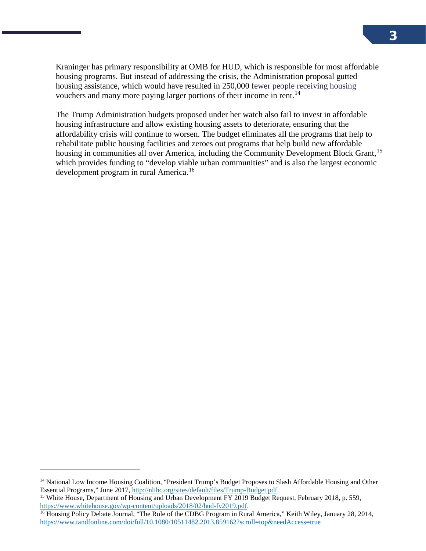Kraninger has primary responsibility at OMB for HUD, which is responsible for most affordable housing programs. But instead of addressing the crisis, the Administration proposal gutted housing assistance, which would have resulted in 250,000 fewer people receiving housing vouchers and many more paying larger portions of their income in rent.<sup>[14](#page-4-0)</sup>

The Trump Administration budgets proposed under her watch also fail to invest in affordable housing infrastructure and allow existing housing assets to deteriorate, ensuring that the affordability crisis will continue to worsen. The budget eliminates all the programs that help to rehabilitate public housing facilities and zeroes out programs that help build new affordable housing in communities all over America, including the Community Development Block Grant,<sup>[15](#page-4-1)</sup> which provides funding to "develop viable urban communities" and is also the largest economic development program in rural America.<sup>[16](#page-4-2)</sup>

<span id="page-4-0"></span><sup>&</sup>lt;sup>14</sup> National Low Income Housing Coalition, "President Trump's Budget Proposes to Slash Affordable Housing and Other Essential Programs," June 2017, http://nlihc.org/sites/default/files/Trump-Budget.pdf.

<span id="page-4-1"></span><sup>&</sup>lt;sup>15</sup> White House, Department of Housing and Urban Development FY 2019 Budget Request, February 2018, p. 559, https://www.whitehouse.gov/wp-content/uploads/2018/02/hud-fy2019.pdf.

<span id="page-4-2"></span><sup>&</sup>lt;sup>16</sup> Housing Policy Debate Journal, "The Role of the CDBG Program in Rural America," Keith Wiley, January 28, 2014, <https://www.tandfonline.com/doi/full/10.1080/10511482.2013.859162?scroll=top&needAccess=true>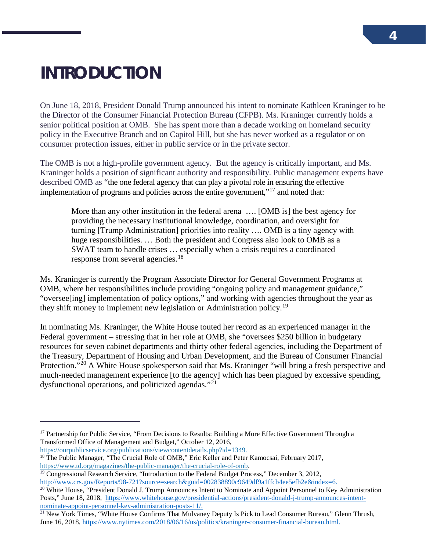## <span id="page-5-0"></span>**INTRODUCTION**

 $\overline{a}$ 

On June 18, 2018, President Donald Trump announced his intent to nominate Kathleen Kraninger to be the Director of the Consumer Financial Protection Bureau (CFPB). Ms. Kraninger currently holds a senior political position at OMB. She has spent more than a decade working on homeland security policy in the Executive Branch and on Capitol Hill, but she has never worked as a regulator or on consumer protection issues, either in public service or in the private sector.

The OMB is not a high-profile government agency. But the agency is critically important, and Ms. Kraninger holds a position of significant authority and responsibility. Public management experts have described OMB as "the one federal agency that can play a pivotal role in ensuring the effective implementation of programs and policies across the entire government,"<sup>[17](#page-5-1)</sup> and noted that:

More than any other institution in the federal arena …. [OMB is] the best agency for providing the necessary institutional knowledge, coordination, and oversight for turning [Trump Administration] priorities into reality …. OMB is a tiny agency with huge responsibilities. ... Both the president and Congress also look to OMB as a SWAT team to handle crises … especially when a crisis requires a coordinated response from several agencies.<sup>[18](#page-5-2)</sup>

Ms. Kraninger is currently the Program Associate Director for General Government Programs at OMB, where her responsibilities include providing "ongoing policy and management guidance," "oversee[ing] implementation of policy options," and working with agencies throughout the year as they shift money to implement new legislation or Administration policy.<sup>[19](#page-5-3)</sup>

In nominating Ms. Kraninger, the White House touted her record as an experienced manager in the Federal government – stressing that in her role at OMB, she "oversees \$250 billion in budgetary resources for seven cabinet departments and thirty other federal agencies, including the Department of the Treasury, Department of Housing and Urban Development, and the Bureau of Consumer Financial Protection."<sup>[20](#page-5-4)</sup> A White House spokesperson said that Ms. Kraninger "will bring a fresh perspective and much-needed management experience [to the agency] which has been plagued by excessive spending, dysfunctional operations, and politicized agendas."[21](#page-5-5)

<span id="page-5-2"></span>[https://ourpublicservice.org/publications/viewcontentdetails.php?id=1349.](https://ourpublicservice.org/publications/viewcontentdetails.php?id=1349)<br><sup>18</sup> The Public Manager, "The Crucial Role of OMB," Eric Keller and Peter Kamocsai, February 2017, [https://www.td.org/magazines/the-public-manager/the-crucial-role-of-omb.](https://www.td.org/magazines/the-public-manager/the-crucial-role-of-omb)

<span id="page-5-4"></span><sup>20</sup> White House, "President Donald J. Trump Announces Intent to Nominate and Appoint Personnel to Key Administration Posts," June 18, 2018, [https://www.whitehouse.gov/presidential-actions/president-donald-j-trump-announces-intent](https://www.whitehouse.gov/presidential-actions/president-donald-j-trump-announces-intent-nominate-appoint-personnel-key-administration-posts-11/)[nominate-appoint-personnel-key-administration-posts-11/.](https://www.whitehouse.gov/presidential-actions/president-donald-j-trump-announces-intent-nominate-appoint-personnel-key-administration-posts-11/)

<span id="page-5-1"></span><sup>&</sup>lt;sup>17</sup> Partnership for Public Service, "From Decisions to Results: Building a More Effective Government Through a Transformed Office of Management and Budget," October 12, 2016,

<span id="page-5-3"></span><sup>&</sup>lt;sup>19</sup> Congressional Research Service, "Introduction to the Federal Budget Process," December 3, 2012, [http://www.crs.gov/Reports/98-721?source=search&guid=002838890c9649df9a1ffcb4ee5efb2e&index=6.](http://www.crs.gov/Reports/98-721?source=search&guid=002838890c9649df9a1ffcb4ee5efb2e&index=6)

<span id="page-5-5"></span> $\frac{21}{21}$  New York Times, "White House Confirms That Mulvaney Deputy Is Pick to Lead Consumer Bureau," Glenn Thrush, June 16, 2018[, https://www.nytimes.com/2018/06/16/us/politics/kraninger-consumer-financial-bureau.html.](https://www.nytimes.com/2018/06/16/us/politics/kraninger-consumer-financial-bureau.html)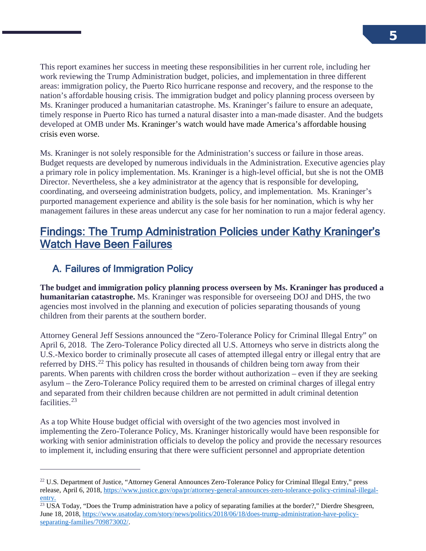This report examines her success in meeting these responsibilities in her current role, including her work reviewing the Trump Administration budget, policies, and implementation in three different areas: immigration policy, the Puerto Rico hurricane response and recovery, and the response to the nation's affordable housing crisis. The immigration budget and policy planning process overseen by Ms. Kraninger produced a humanitarian catastrophe. Ms. Kraninger's failure to ensure an adequate, timely response in Puerto Rico has turned a natural disaster into a man-made disaster. And the budgets developed at OMB under Ms. Kraninger's watch would have made America's affordable housing crisis even worse.

Ms. Kraninger is not solely responsible for the Administration's success or failure in those areas. Budget requests are developed by numerous individuals in the Administration. Executive agencies play a primary role in policy implementation. Ms. Kraninger is a high-level official, but she is not the OMB Director. Nevertheless, she a key administrator at the agency that is responsible for developing, coordinating, and overseeing administration budgets, policy, and implementation. Ms. Kraninger's purported management experience and ability is the sole basis for her nomination, which is why her management failures in these areas undercut any case for her nomination to run a major federal agency.

### Findings: The Trump Administration Policies under Kathy Kraninger's Watch Have Been Failures

### A. Failures of Immigration Policy

 $\overline{a}$ 

**The budget and immigration policy planning process overseen by Ms. Kraninger has produced a humanitarian catastrophe.** Ms. Kraninger was responsible for overseeing DOJ and DHS, the two agencies most involved in the planning and execution of policies separating thousands of young children from their parents at the southern border.

Attorney General Jeff Sessions announced the "Zero-Tolerance Policy for Criminal Illegal Entry" on April 6, 2018. The Zero-Tolerance Policy directed all U.S. Attorneys who serve in districts along the U.S.-Mexico border to criminally prosecute all cases of attempted illegal entry or illegal entry that are referred by DHS.<sup>[22](#page-6-0)</sup> This policy has resulted in thousands of children being torn away from their parents. When parents with children cross the border without authorization – even if they are seeking asylum – the Zero-Tolerance Policy required them to be arrested on criminal charges of illegal entry and separated from their children because children are not permitted in adult criminal detention facilities.<sup>23</sup>

As a top White House budget official with oversight of the two agencies most involved in implementing the Zero-Tolerance Policy, Ms. Kraninger historically would have been responsible for working with senior administration officials to develop the policy and provide the necessary resources to implement it, including ensuring that there were sufficient personnel and appropriate detention

<span id="page-6-0"></span><sup>&</sup>lt;sup>22</sup> U.S. Department of Justice, "Attorney General Announces Zero-Tolerance Policy for Criminal Illegal Entry," press release, April 6, 2018, [https://www.justice.gov/opa/pr/attorney-general-announces-zero-tolerance-policy-criminal-illegal](https://www.justice.gov/opa/pr/attorney-general-announces-zero-tolerance-policy-criminal-illegal-entry)[entry.](https://www.justice.gov/opa/pr/attorney-general-announces-zero-tolerance-policy-criminal-illegal-entry)

<span id="page-6-1"></span><sup>&</sup>lt;sup>23</sup> USA Today, "Does the Trump administration have a policy of separating families at the border?," Dierdre Shesgreen, June 18, 2018[, https://www.usatoday.com/story/news/politics/2018/06/18/does-trump-administration-have-policy](https://www.usatoday.com/story/news/politics/2018/06/18/does-trump-administration-have-policy-separating-families/709873002/)[separating-families/709873002/.](https://www.usatoday.com/story/news/politics/2018/06/18/does-trump-administration-have-policy-separating-families/709873002/)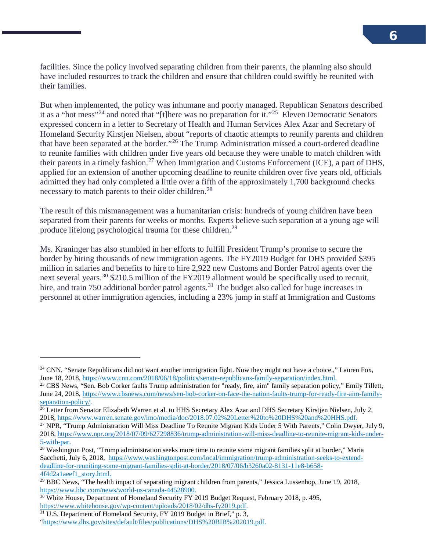facilities. Since the policy involved separating children from their parents, the planning also should have included resources to track the children and ensure that children could swiftly be reunited with their families.

But when implemented, the policy was inhumane and poorly managed. Republican Senators described it as a "hot mess"[24](#page-7-0) and noted that "[t]here was no preparation for it."[25](#page-7-1) Eleven Democratic Senators expressed concern in a letter to Secretary of Health and Human Services Alex Azar and Secretary of Homeland Security Kirstjen Nielsen, about "reports of chaotic attempts to reunify parents and children that have been separated at the border."[26](#page-7-2) The Trump Administration missed a court-ordered deadline to reunite families with children under five years old because they were unable to match children with their parents in a timely fashion.<sup>[27](#page-7-3)</sup> When Immigration and Customs Enforcement (ICE), a part of DHS, applied for an extension of another upcoming deadline to reunite children over five years old, officials admitted they had only completed a little over a fifth of the approximately 1,700 background checks necessary to match parents to their older children.<sup>28</sup>

The result of this mismanagement was a humanitarian crisis: hundreds of young children have been separated from their parents for weeks or months. Experts believe such separation at a young age will produce lifelong psychological trauma for these children.<sup>[29](#page-7-5)</sup>

Ms. Kraninger has also stumbled in her efforts to fulfill President Trump's promise to secure the border by hiring thousands of new immigration agents. The FY2019 Budget for DHS provided \$395 million in salaries and benefits to hire to hire 2,922 new Customs and Border Patrol agents over the next several years.<sup>[30](#page-7-6)</sup> \$210.5 million of the FY2019 allotment would be specifically used to recruit, hire, and train 750 additional border patrol agents.<sup>[31](#page-7-7)</sup> The budget also called for huge increases in personnel at other immigration agencies, including a 23% jump in staff at Immigration and Customs

<span id="page-7-0"></span><sup>&</sup>lt;sup>24</sup> CNN, "Senate Republicans did not want another immigration fight. Now they might not have a choice.," Lauren Fox, June 18, 2018[, https://www.cnn.com/2018/06/18/politics/senate-republicans-family-separation/index.html.](https://www.cnn.com/2018/06/18/politics/senate-republicans-family-separation/index.html)

<span id="page-7-1"></span><sup>&</sup>lt;sup>25</sup> CBS News, "Sen. Bob Corker faults Trump administration for "ready, fire, aim" family separation policy," Emily Tillett, June 24, 2018[, https://www.cbsnews.com/news/sen-bob-corker-on-face-the-nation-faults-trump-for-ready-fire-aim-family-](https://www.cbsnews.com/news/sen-bob-corker-on-face-the-nation-faults-trump-for-ready-fire-aim-family-separation-policy/)

<span id="page-7-2"></span>[separation-policy/.](https://www.cbsnews.com/news/sen-bob-corker-on-face-the-nation-faults-trump-for-ready-fire-aim-family-separation-policy/)<br><sup>26</sup> Letter from Senator Elizabeth Warren et al. to HHS Secretary Alex Azar and DHS Secretary Kirstjen Nielsen, July 2, 2018[, https://www.warren.senate.gov/imo/media/doc/2018.07.02%20Letter%20to%20DHS%20and%20HHS.pdf.](https://www.warren.senate.gov/imo/media/doc/2018.07.02%20Letter%20to%20DHS%20and%20HHS.pdf)

<span id="page-7-3"></span><sup>27</sup> NPR, "Trump Administration Will Miss Deadline To Reunite Migrant Kids Under 5 With Parents," Colin Dwyer, July 9, 2018[, https://www.npr.org/2018/07/09/627298836/trump-administration-will-miss-deadline-to-reunite-migrant-kids-under-](https://www.npr.org/2018/07/09/627298836/trump-administration-will-miss-deadline-to-reunite-migrant-kids-under-5-with-par)[5-with-par.](https://www.npr.org/2018/07/09/627298836/trump-administration-will-miss-deadline-to-reunite-migrant-kids-under-5-with-par)

<span id="page-7-4"></span> $28$  Washington Post, "Trump administration seeks more time to reunite some migrant families split at border," Maria Sacchetti, July 6, 2018, [https://www.washingtonpost.com/local/immigration/trump-administration-seeks-to-extend](https://www.washingtonpost.com/local/immigration/trump-administration-seeks-to-extend-deadline-for-reuniting-some-migrant-families-split-at-border/2018/07/06/b3260a02-8131-11e8-b658-4f4d2a1aeef1_story.html.)[deadline-for-reuniting-some-migrant-families-split-at-border/2018/07/06/b3260a02-8131-11e8-b658-](https://www.washingtonpost.com/local/immigration/trump-administration-seeks-to-extend-deadline-for-reuniting-some-migrant-families-split-at-border/2018/07/06/b3260a02-8131-11e8-b658-4f4d2a1aeef1_story.html.) [4f4d2a1aeef1\\_story.html.](https://www.washingtonpost.com/local/immigration/trump-administration-seeks-to-extend-deadline-for-reuniting-some-migrant-families-split-at-border/2018/07/06/b3260a02-8131-11e8-b658-4f4d2a1aeef1_story.html.)

<span id="page-7-5"></span><sup>&</sup>lt;sup>29</sup> BBC News, "The health impact of separating migrant children from parents," Jessica Lussenhop, June 19, 2018, https://www.bbc.com/news/world-us-canada-44528900.

<span id="page-7-6"></span> $30$  White House, Department of Homeland Security FY 2019 Budget Request, February 2018, p. 495, [https://www.whitehouse.gov/wp-content/uploads/2018/02/dhs-fy2019.pdf.](https://www.whitehouse.gov/wp-content/uploads/2018/02/dhs-fy2019.pdf)

<span id="page-7-7"></span> $31 \text{ U.S. Department of Homeland Security, FY } 2019 \text{ Budget in Brief, "p. 3, }$ 

[<sup>&</sup>quot;https://www.dhs.gov/sites/default/files/publications/DHS%20BIB%202019.pdf.](https://www.dhs.gov/sites/default/files/publications/DHS%20BIB%202019.pdf)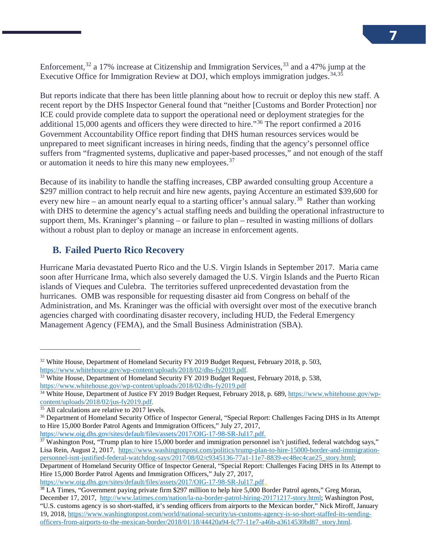Enforcement,<sup>[32](#page-8-0)</sup> a 17% increase at Citizenship and Immigration Services,<sup>[33](#page-8-1)</sup> and a 47% jump at the Executive Office for Immigration Review at DOJ, which employs immigration judges.<sup>[34,](#page-8-2)35</sup>

But reports indicate that there has been little planning about how to recruit or deploy this new staff. A recent report by the DHS Inspector General found that "neither [Customs and Border Protection] nor ICE could provide complete data to support the operational need or deployment strategies for the additional 15,000 agents and officers they were directed to hire."[36](#page-8-4) The report confirmed a 2016 Government Accountability Office report finding that DHS human resources services would be unprepared to meet significant increases in hiring needs, finding that the agency's personnel office suffers from "fragmented systems, duplicative and paper-based processes," and not enough of the staff or automation it needs to hire this many new employees.<sup>37</sup>

Because of its inability to handle the staffing increases, CBP awarded consulting group Accenture a \$297 million contract to help recruit and hire new agents, paying Accenture an estimated \$39,600 for every new hire – an amount nearly equal to a starting officer's annual salary.<sup>38</sup> Rather than working with DHS to determine the agency's actual staffing needs and building the operational infrastructure to support them, Ms. Kraninger's planning – or failure to plan – resulted in wasting millions of dollars without a robust plan to deploy or manage an increase in enforcement agents.

#### **B. Failed Puerto Rico Recovery**

Hurricane Maria devastated Puerto Rico and the U.S. Virgin Islands in September 2017. Maria came soon after Hurricane Irma, which also severely damaged the U.S. Virgin Islands and the Puerto Rican islands of Vieques and Culebra. The territories suffered unprecedented devastation from the hurricanes. OMB was responsible for requesting disaster aid from Congress on behalf of the Administration, and Ms. Kraninger was the official with oversight over most of the executive branch agencies charged with coordinating disaster recovery, including HUD, the Federal Emergency Management Agency (FEMA), and the Small Business Administration (SBA).

 $\overline{a}$ 

[https://www.oig.dhs.gov/sites/default/files/assets/2017/OIG-17-98-SR-Jul17.pdf.](https://www.oig.dhs.gov/sites/default/files/assets/2017/OIG-17-98-SR-Jul17.pdf)

[https://www.oig.dhs.gov/sites/default/files/assets/2017/OIG-17-98-SR-Jul17.pdf.](https://www.oig.dhs.gov/sites/default/files/assets/2017/OIG-17-98-SR-Jul17.pdf).

<span id="page-8-0"></span><sup>&</sup>lt;sup>32</sup> White House, Department of Homeland Security FY 2019 Budget Request, February 2018, p. 503, [https://www.whitehouse.gov/wp-content/uploads/2018/02/dhs-fy2019.pdf.](https://www.whitehouse.gov/wp-content/uploads/2018/02/dhs-fy2019.pdf)

<span id="page-8-1"></span><sup>&</sup>lt;sup>33</sup> White House, Department of Homeland Security FY 2019 Budget Request, February 2018, p. 538, <https://www.whitehouse.gov/wp-content/uploads/2018/02/dhs-fy2019.pdf>

<span id="page-8-2"></span><sup>&</sup>lt;sup>34</sup> White House, Department of Justice FY 2019 Budget Request, February 2018, p. 689, https://www.whitehouse.gov/wp-<br>content/uploads/2018/02/jus-fy2019.pdf.

<span id="page-8-4"></span><span id="page-8-3"></span><sup>&</sup>lt;sup>35</sup> All calculations are relative to 2017 levels.<br><sup>36</sup> Department of Homeland Security Office of Inspector General, "Special Report: Challenges Facing DHS in Its Attempt to Hire 15,000 Border Patrol Agents and Immigration Officers," July 27, 2017,

<span id="page-8-5"></span> $37$  Washington Post, "Trump plan to hire 15,000 border and immigration personnel isn't justified, federal watchdog says," Lisa Rein, August 2, 2017, [https://www.washingtonpost.com/politics/trump-plan-to-hire-15000-border-and-immigration](https://www.washingtonpost.com/politics/trump-plan-to-hire-15000-border-and-immigration-personnel-isnt-justified-federal-watchdog-says/2017/08/02/c9345136-77a1-11e7-8839-ec48ec4cae25_story.html?utm_term=.5ba7187d4886)[personnel-isnt-justified-federal-watchdog-says/2017/08/02/c9345136-77a1-11e7-8839-ec48ec4cae25\\_story.html;](https://www.washingtonpost.com/politics/trump-plan-to-hire-15000-border-and-immigration-personnel-isnt-justified-federal-watchdog-says/2017/08/02/c9345136-77a1-11e7-8839-ec48ec4cae25_story.html?utm_term=.5ba7187d4886)

Department of Homeland Security Office of Inspector General, "Special Report: Challenges Facing DHS in Its Attempt to Hire 15,000 Border Patrol Agents and Immigration Officers," July 27, 2017,

<span id="page-8-6"></span><sup>&</sup>lt;sup>38</sup> LA Times, "Government paying private firm \$297 million to help hire 5,000 Border Patrol agents," Greg Moran, December 17, 2017, [http://www.latimes.com/nation/la-na-border-patrol-hiring-20171217-story.html;](http://www.latimes.com/nation/la-na-border-patrol-hiring-20171217-story.html) Washington Post, "U.S. customs agency is so short-staffed, it's sending officers from airports to the Mexican border," Nick Miroff, January 19, 2018[, https://www.washingtonpost.com/world/national-security/us-customs-agency-is-so-short-staffed-its-sending](https://www.washingtonpost.com/world/national-security/us-customs-agency-is-so-short-staffed-its-sending-officers-from-airports-to-the-mexican-border/2018/01/18/44420a94-fc77-11e7-a46b-a3614530bd87_story.html)[officers-from-airports-to-the-mexican-border/2018/01/18/44420a94-fc77-11e7-a46b-a3614530bd87\\_story.html.](https://www.washingtonpost.com/world/national-security/us-customs-agency-is-so-short-staffed-its-sending-officers-from-airports-to-the-mexican-border/2018/01/18/44420a94-fc77-11e7-a46b-a3614530bd87_story.html)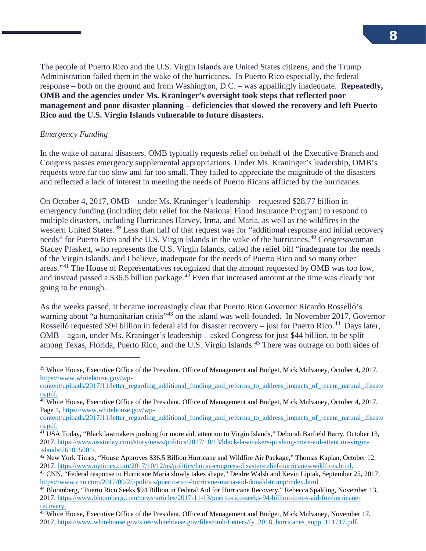The people of Puerto Rico and the U.S. Virgin Islands are United States citizens, and the Trump Administration failed them in the wake of the hurricanes. In Puerto Rico especially, the federal response – both on the ground and from Washington, D.C. – was appallingly inadequate. **Repeatedly, OMB and the agencies under Ms. Kraninger's oversight took steps that reflected poor management and poor disaster planning – deficiencies that slowed the recovery and left Puerto Rico and the U.S. Virgin Islands vulnerable to future disasters.**

#### *Emergency Funding*

 $\overline{a}$ 

In the wake of natural disasters, OMB typically requests relief on behalf of the Executive Branch and Congress passes emergency supplemental appropriations. Under Ms. Kraninger's leadership, OMB's requests were far too slow and far too small. They failed to appreciate the magnitude of the disasters and reflected a lack of interest in meeting the needs of Puerto Ricans afflicted by the hurricanes.

On October 4, 2017, OMB – under Ms. Kraninger's leadership – requested \$28.77 billion in emergency funding (including debt relief for the National Flood Insurance Program) to respond to multiple disasters, including Hurricanes Harvey, Irma, and Maria, as well as the wildfires in the western United States.<sup>[39](#page-9-0)</sup> Less than half of that request was for "additional response and initial recovery needs" for Puerto Rico and the U.S. Virgin Islands in the wake of the hurricanes.<sup>[40](#page-9-1)</sup> Congresswoman Stacey Plaskett, who represents the U.S. Virgin Islands, called the relief bill "inadequate for the needs of the Virgin Islands, and I believe, inadequate for the needs of Puerto Rico and so many other areas."[41](#page-9-2) The House of Representatives recognized that the amount requested by OMB was too low, and instead passed a \$36.5 billion package.<sup>[42](#page-9-3)</sup> Even that increased amount at the time was clearly not going to be enough.

As the weeks passed, it became increasingly clear that Puerto Rico Governor Ricardo Rosselló's warning about "a humanitarian crisis"<sup>[43](#page-9-4)</sup> on the island was well-founded. In November 2017, Governor Rosselló requested \$94 billion in federal aid for disaster recovery – just for Puerto Rico.<sup>[44](#page-9-5)</sup> Days later, OMB – again, under Ms. Kraninger's leadership – asked Congress for just \$44 billion, to be split among Texas, Florida, Puerto Rico, and the U.S. Virgin Islands.[45](#page-9-6) There was outrage on both sides of

<span id="page-9-0"></span><sup>&</sup>lt;sup>39</sup> White House, Executive Office of the President, Office of Management and Budget, Mick Mulvaney, October 4, 2017, [https://www.whitehouse.gov/wp-](https://www.whitehouse.gov/wp-content/uploads/2017/11/letter_regarding_additional_funding_and_reforms_to_address_impacts_of_recent_natural_disasters.pdf)

[content/uploads/2017/11/letter\\_regarding\\_additional\\_funding\\_and\\_reforms\\_to\\_address\\_impacts\\_of\\_recent\\_natural\\_disaste](https://www.whitehouse.gov/wp-content/uploads/2017/11/letter_regarding_additional_funding_and_reforms_to_address_impacts_of_recent_natural_disasters.pdf) [rs.pdf.](https://www.whitehouse.gov/wp-content/uploads/2017/11/letter_regarding_additional_funding_and_reforms_to_address_impacts_of_recent_natural_disasters.pdf)

<span id="page-9-1"></span> $40$  White House, Executive Office of the President, Office of Management and Budget, Mick Mulvaney, October 4, 2017, Page 1[, https://www.whitehouse.gov/wp-](https://www.whitehouse.gov/wp-content/uploads/2017/11/letter_regarding_additional_funding_and_reforms_to_address_impacts_of_recent_natural_disasters.pdf)

[content/uploads/2017/11/letter\\_regarding\\_additional\\_funding\\_and\\_reforms\\_to\\_address\\_impacts\\_of\\_recent\\_natural\\_disaste](https://www.whitehouse.gov/wp-content/uploads/2017/11/letter_regarding_additional_funding_and_reforms_to_address_impacts_of_recent_natural_disasters.pdf) [rs.pdf.](https://www.whitehouse.gov/wp-content/uploads/2017/11/letter_regarding_additional_funding_and_reforms_to_address_impacts_of_recent_natural_disasters.pdf)

<span id="page-9-2"></span><sup>&</sup>lt;sup>41</sup> USA Today, "Black lawmakers pushing for more aid, attention to Virgin Islands," Deborah Barfield Barry, October 13, 2017[, https://www.usatoday.com/story/news/politics/2017/10/13/black-lawmakers-pushing-more-aid-attention-virgin](https://www.usatoday.com/story/news/politics/2017/10/13/black-lawmakers-pushing-more-aid-attention-virgin-islands/761815001/)[islands/761815001/.](https://www.usatoday.com/story/news/politics/2017/10/13/black-lawmakers-pushing-more-aid-attention-virgin-islands/761815001/)

<span id="page-9-3"></span><sup>42</sup> New York Times, "House Approves \$36.5 Billion Hurricane and Wildfire Air Package," Thomas Kaplan, October 12, 2017[, https://www.nytimes.com/2017/10/12/us/politics/house-congress-disaster-relief-hurricanes-wildfires.html.](https://www.nytimes.com/2017/10/12/us/politics/house-congress-disaster-relief-hurricanes-wildfires.html)

<span id="page-9-4"></span><sup>&</sup>lt;sup>43</sup> CNN, "Federal response to Hurricane Maria slowly takes shape," Deidre Walsh and Kevin Liptak, September 25, 2017, <https://www.cnn.com/2017/09/25/politics/puerto-rico-hurricane-maria-aid-donald-trump/index.html>

<span id="page-9-5"></span><sup>&</sup>lt;sup>44</sup> Bloomberg, "Puerto Rico Seeks \$94 Billion in Federal Aid for Hurricane Recovery," Rebecca Spalding, November 13, 2017, [https://www.bloomberg.com/news/articles/2017-11-13/puerto-rico-seeks-94-billion-in-u-s-aid-for-hurricane](https://www.bloomberg.com/news/articles/2017-11-13/puerto-rico-seeks-94-billion-in-u-s-aid-for-hurricane-recovery)[recovery.](https://www.bloomberg.com/news/articles/2017-11-13/puerto-rico-seeks-94-billion-in-u-s-aid-for-hurricane-recovery)

<span id="page-9-6"></span><sup>45</sup> White House, Executive Office of the President, Office of Management and Budget, Mick Mulvaney, November 17, 2017[, https://www.whitehouse.gov/sites/whitehouse.gov/files/omb/Letters/fy\\_2018\\_hurricanes\\_supp\\_111717.pdf.](https://www.whitehouse.gov/sites/whitehouse.gov/files/omb/Letters/fy_2018_hurricanes_supp_111717.pdf)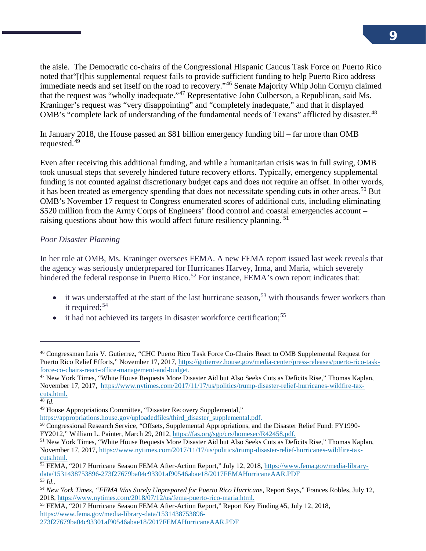the aisle. The Democratic co-chairs of the Congressional Hispanic Caucus Task Force on Puerto Rico noted that"[t]his supplemental request fails to provide sufficient funding to help Puerto Rico address immediate needs and set itself on the road to recovery."[46](#page-10-0) Senate Majority Whip John Cornyn claimed that the request was "wholly inadequate."[47](#page-10-1) Representative John Culberson, a Republican, said Ms. Kraninger's request was "very disappointing" and "completely inadequate," and that it displayed OMB's "complete lack of understanding of the fundamental needs of Texans" afflicted by disaster.<sup>[48](#page-10-2)</sup>

In January 2018, the House passed an \$81 billion emergency funding bill – far more than OMB requested.<sup>[49](#page-10-3)</sup>

Even after receiving this additional funding, and while a humanitarian crisis was in full swing, OMB took unusual steps that severely hindered future recovery efforts. Typically, emergency supplemental funding is not counted against discretionary budget caps and does not require an offset. In other words, it has been treated as emergency spending that does not necessitate spending cuts in other areas.<sup>[50](#page-10-4)</sup> But OMB's November 17 request to Congress enumerated scores of additional cuts, including eliminating \$520 million from the Army Corps of Engineers' flood control and coastal emergencies account – raising questions about how this would affect future resiliency planning.<sup>[51](#page-10-5)</sup>

#### *Poor Disaster Planning*

In her role at OMB, Ms. Kraninger oversees FEMA. A new FEMA report issued last week reveals that the agency was seriously underprepared for Hurricanes Harvey, Irma, and Maria, which severely hindered the federal response in Puerto Rico.<sup>[52](#page-10-6)</sup> For instance, FEMA's own report indicates that:

- it was understaffed at the start of the last hurricane season,<sup>[53](#page-10-7)</sup> with thousands fewer workers than it required:<sup>[54](#page-10-8)</sup>
- $\bullet$  it had not achieved its targets in disaster workforce certification;<sup>[55](#page-10-9)</sup>

j

<span id="page-10-0"></span><sup>46</sup> Congressman Luis V. Gutierrez, "CHC Puerto Rico Task Force Co-Chairs React to OMB Supplemental Request for Puerto Rico Relief Efforts," November 17, 2017[, https://gutierrez.house.gov/media-center/press-releases/puerto-rico-task](https://gutierrez.house.gov/media-center/press-releases/puerto-rico-task-force-co-chairs-react-office-management-and-budget)[force-co-chairs-react-office-management-and-budget.](https://gutierrez.house.gov/media-center/press-releases/puerto-rico-task-force-co-chairs-react-office-management-and-budget)

<span id="page-10-1"></span> $47$  New York Times, "White House Requests More Disaster Aid but Also Seeks Cuts as Deficits Rise," Thomas Kaplan, November 17, 2017, [https://www.nytimes.com/2017/11/17/us/politics/trump-disaster-relief-hurricanes-wildfire-tax](https://www.nytimes.com/2017/11/17/us/politics/trump-disaster-relief-hurricanes-wildfire-tax-cuts.html)[cuts.html.](https://www.nytimes.com/2017/11/17/us/politics/trump-disaster-relief-hurricanes-wildfire-tax-cuts.html)

<span id="page-10-2"></span><sup>48</sup> *Id.*

<span id="page-10-3"></span><sup>49</sup> House Appropriations Committee, "Disaster Recovery Supplemental,"

[https://appropriations.house.gov/uploadedfiles/third\\_disaster\\_supplemental.pdf.](https://appropriations.house.gov/uploadedfiles/third_disaster_supplemental.pdf)

<span id="page-10-4"></span><sup>50</sup> Congressional Research Service, "Offsets, Supplemental Appropriations, and the Disaster Relief Fund: FY1990- FY2012," William L. Painter, March 29, 2012, [https://fas.org/sgp/crs/homesec/R42458.pdf.](https://fas.org/sgp/crs/homesec/R42458.pdf)

<span id="page-10-5"></span><sup>51</sup> New York Times, "White House Requests More Disaster Aid but Also Seeks Cuts as Deficits Rise," Thomas Kaplan, November 17, 2017, https://www.nytimes.com/2017/11/17/us/politics/trump-disaster-relief-hurricanes-wildfire-tax-<br>cuts.html.

<span id="page-10-6"></span> $52$  FEMA, "2017 Hurricane Season FEMA After-Action Report," July 12, 2018, [https://www.fema.gov/media-library](https://www.fema.gov/media-library-data/1531438753896-273f27679ba04c93301af90546abae18/2017FEMAHurricaneAAR.PDF)[data/1531438753896-273f27679ba04c93301af90546abae18/2017FEMAHurricaneAAR.PDF](https://www.fema.gov/media-library-data/1531438753896-273f27679ba04c93301af90546abae18/2017FEMAHurricaneAAR.PDF) <sup>53</sup> *Id..*

<span id="page-10-8"></span><span id="page-10-7"></span>*<sup>54</sup> New York Times, "FEMA Was Sorely Unprepared for Puerto Rico Hurricane*, Report Says," Frances Robles, July 12, 2018[, https://www.nytimes.com/2018/07/12/us/fema-puerto-rico-maria.html.](https://www.nytimes.com/2018/07/12/us/fema-puerto-rico-maria.html)

<span id="page-10-9"></span><sup>55</sup> FEMA, "2017 Hurricane Season FEMA After-Action Report," Report Key Finding #5, July 12, 2018, [https://www.fema.gov/media-library-data/1531438753896-](https://www.fema.gov/media-library-data/1531438753896-273f27679ba04c93301af90546abae18/2017FEMAHurricaneAAR.PDF)

[<sup>273</sup>f27679ba04c93301af90546abae18/2017FEMAHurricaneAAR.PDF](https://www.fema.gov/media-library-data/1531438753896-273f27679ba04c93301af90546abae18/2017FEMAHurricaneAAR.PDF)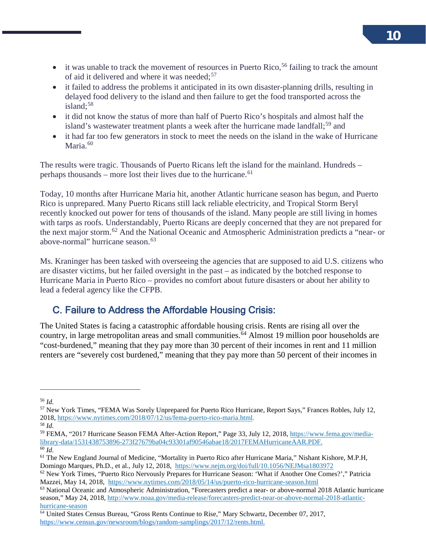- it was unable to track the movement of resources in Puerto Rico,<sup>[56](#page-11-0)</sup> failing to track the amount of aid it delivered and where it was needed;<sup>[57](#page-11-1)</sup>
- it failed to address the problems it anticipated in its own disaster-planning drills, resulting in delayed food delivery to the island and then failure to get the food transported across the island: $58$
- it did not know the status of more than half of Puerto Rico's hospitals and almost half the island's wastewater treatment plants a week after the hurricane made landfall;<sup>[59](#page-11-3)</sup> and
- it had far too few generators in stock to meet the needs on the island in the wake of Hurricane Maria. $60$

The results were tragic. Thousands of Puerto Ricans left the island for the mainland. Hundreds – perhaps thousands – more lost their lives due to the hurricane.<sup>[61](#page-11-5)</sup>

Today, 10 months after Hurricane Maria hit, another Atlantic hurricane season has begun, and Puerto Rico is unprepared. Many Puerto Ricans still lack reliable electricity, and Tropical Storm Beryl recently knocked out power for tens of thousands of the island. Many people are still living in homes with tarps as roofs. Understandably, Puerto Ricans are deeply concerned that they are not prepared for the next major storm.[62](#page-11-6) And the National Oceanic and Atmospheric Administration predicts a "near- or above-normal" hurricane season.<sup>63</sup>

Ms. Kraninger has been tasked with overseeing the agencies that are supposed to aid U.S. citizens who are disaster victims, but her failed oversight in the past – as indicated by the botched response to Hurricane Maria in Puerto Rico – provides no comfort about future disasters or about her ability to lead a federal agency like the CFPB.

#### C. Failure to Address the Affordable Housing Crisis:

The United States is facing a catastrophic affordable housing crisis. Rents are rising all over the country, in large metropolitan areas and small communities.<sup> $64$ </sup> Almost 19 million poor households are "cost-burdened," meaning that they pay more than 30 percent of their incomes in rent and 11 million renters are "severely cost burdened," meaning that they pay more than 50 percent of their incomes in

j

<span id="page-11-0"></span><sup>56</sup> *Id.*

<span id="page-11-1"></span><sup>57</sup> New York Times, "FEMA Was Sorely Unprepared for Puerto Rico Hurricane, Report Says," Frances Robles, July 12, 2018[, https://www.nytimes.com/2018/07/12/us/fema-puerto-rico-maria.html.](https://www.nytimes.com/2018/07/12/us/fema-puerto-rico-maria.html) <sup>58</sup> *Id.*

<span id="page-11-3"></span><span id="page-11-2"></span><sup>59</sup> FEMA, "2017 Hurricane Season FEMA After-Action Report," Page 33, July 12, 2018, [https://www.fema.gov/media](https://www.fema.gov/media-library-data/1531438753896-273f27679ba04c93301af90546abae18/2017FEMAHurricaneAAR.PDF)[library-data/1531438753896-273f27679ba04c93301af90546abae18/2017FEMAHurricaneAAR.PDF.](https://www.fema.gov/media-library-data/1531438753896-273f27679ba04c93301af90546abae18/2017FEMAHurricaneAAR.PDF) 60 *Id.*

<span id="page-11-5"></span><span id="page-11-4"></span><sup>61</sup> The New England Journal of Medicine, "Mortality in Puerto Rico after Hurricane Maria," Nishant Kishore, M.P.H, Domingo Marques, Ph.D., et al., July 12, 2018, <https://www.nejm.org/doi/full/10.1056/NEJMsa1803972>

<span id="page-11-6"></span><sup>62</sup> New York Times, "Puerto Rico Nervously Prepares for Hurricane Season: 'What if Another One Comes?'," Patricia Mazzei, May 14, 2018, <https://www.nytimes.com/2018/05/14/us/puerto-rico-hurricane-season.html>

<span id="page-11-7"></span><sup>&</sup>lt;sup>63</sup> National Oceanic and Atmospheric Administration, "Forecasters predict a near- or above-normal 2018 Atlantic hurricane season," May 24, 2018[, http://www.noaa.gov/media-release/forecasters-predict-near-or-above-normal-2018-atlantic](http://www.noaa.gov/media-release/forecasters-predict-near-or-above-normal-2018-atlantic-hurricane-season)[hurricane-season](http://www.noaa.gov/media-release/forecasters-predict-near-or-above-normal-2018-atlantic-hurricane-season)

<span id="page-11-8"></span><sup>&</sup>lt;sup>64</sup> United States Census Bureau, "Gross Rents Continue to Rise," Mary Schwartz, December 07, 2017, [https://www.census.gov/newsroom/blogs/random-samplings/2017/12/rents.html.](https://www.census.gov/newsroom/blogs/random-samplings/2017/12/rents.html)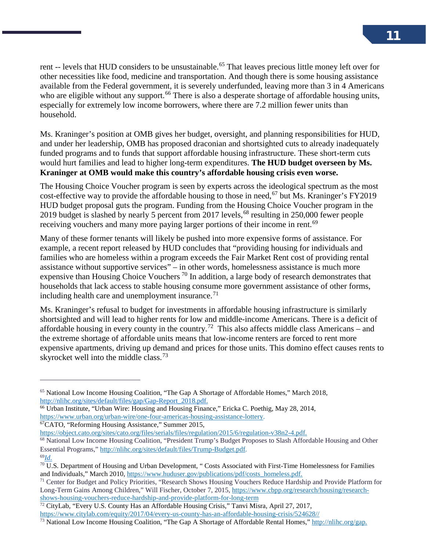rent -- levels that HUD considers to be unsustainable.<sup>[65](#page-12-0)</sup> That leaves precious little money left over for other necessities like food, medicine and transportation. And though there is some housing assistance available from the Federal government, it is severely underfunded, leaving more than 3 in 4 Americans who are eligible without any support.<sup>[66](#page-12-1)</sup> There is also a desperate shortage of affordable housing units, especially for extremely low income borrowers, where there are 7.2 million fewer units than household.

Ms. Kraninger's position at OMB gives her budget, oversight, and planning responsibilities for HUD, and under her leadership, OMB has proposed draconian and shortsighted cuts to already inadequately funded programs and to funds that support affordable housing infrastructure. These short-term cuts would hurt families and lead to higher long-term expenditures. **The HUD budget overseen by Ms. Kraninger at OMB would make this country's affordable housing crisis even worse.** 

The Housing Choice Voucher program is seen by experts across the ideological spectrum as the most cost-effective way to provide the affordable housing to those in need,  $67$  but Ms. Kraninger's FY2019 HUD budget proposal guts the program. Funding from the Housing Choice Voucher program in the 2019 budget is slashed by nearly 5 percent from 2017 levels, <sup>[68](#page-12-3)</sup> resulting in 250,000 fewer people receiving vouchers and many more paying larger portions of their income in rent.<sup>[69](#page-12-4)</sup>

Many of these former tenants will likely be pushed into more expensive forms of assistance. For example, a recent report released by HUD concludes that "providing housing for individuals and families who are homeless within a program exceeds the Fair Market Rent cost of providing rental assistance without supportive services" – in other words, homelessness assistance is much more expensive than Housing Choice Vouchers<sup>[70](#page-12-5)</sup> In addition, a large body of research demonstrates that households that lack access to stable housing consume more government assistance of other forms, including health care and unemployment insurance. $<sup>71</sup>$  $<sup>71</sup>$  $<sup>71</sup>$ </sup>

Ms. Kraninger's refusal to budget for investments in affordable housing infrastructure is similarly shortsighted and will lead to higher rents for low and middle-income Americans. There is a deficit of affordable housing in every county in the country.<sup>72</sup> This also affects middle class Americans – and the extreme shortage of affordable units means that low-income renters are forced to rent more expensive apartments, driving up demand and prices for those units. This domino effect causes rents to skyrocket well into the middle class.<sup>[73](#page-12-8)</sup>

<span id="page-12-2"></span>

[https://object.cato.org/sites/cato.org/files/serials/files/regulation/2015/6/regulation-v38n2-4.pdf.](https://object.cato.org/sites/cato.org/files/serials/files/regulation/2015/6/regulation-v38n2-4.pdf)

<span id="page-12-0"></span><sup>65</sup> National Low Income Housing Coalition, "The Gap A Shortage of Affordable Homes," March 2018, [http://nlihc.org/sites/default/files/gap/Gap-Report\\_2018.pdf.](http://nlihc.org/sites/default/files/gap/Gap-Report_2018.pdf)

<span id="page-12-1"></span><sup>66</sup> Urban Institute, "Urban Wire: Housing and Housing Finance," Ericka C. Poethig, May 28, 2014, https://www.urban.org/urban-wire/one-four-americas-housing-assistance-lottery.<br><sup>67</sup>CATO, "Reforming Housing Assistance," Summer 2015,

<span id="page-12-3"></span><sup>68</sup> National Low Income Housing Coalition, "President Trump's Budget Proposes to Slash Affordable Housing and Other Essential Programs," [http://nlihc.org/sites/default/files/Trump-Budget.pdf.](http://nlihc.org/sites/default/files/Trump-Budget.pdf) 69*Id.*

<span id="page-12-4"></span>

<span id="page-12-5"></span> $\sqrt[70]{U}$ .S. Department of Housing and Urban Development, "Costs Associated with First-Time Homelessness for Families and Individuals," March 2010[, https://www.huduser.gov/publications/pdf/costs\\_homeless.pdf.](https://www.huduser.gov/publications/pdf/costs_homeless.pdf)

<span id="page-12-6"></span><sup>&</sup>lt;sup>71</sup> Center for Budget and Policy Priorities, "Research Shows Housing Vouchers Reduce Hardship and Provide Platform for Long-Term Gains Among Children," Will Fischer, October 7, 2015[, https://www.cbpp.org/research/housing/research](https://www.cbpp.org/research/housing/research-shows-housing-vouchers-reduce-hardship-and-provide-platform-for-long-term)[shows-housing-vouchers-reduce-hardship-and-provide-platform-for-long-term](https://www.cbpp.org/research/housing/research-shows-housing-vouchers-reduce-hardship-and-provide-platform-for-long-term)

<span id="page-12-7"></span><sup>&</sup>lt;sup>72</sup> CityLab, "Every U.S. County Has an Affordable Housing Crisis," Tanvi Misra, April 27, 2017,

[https://www.citylab.com/equity/2017/04/every-us-county-has-an-affordable-housing-crisis/524628//](https://www.citylab.com/equity/2017/04/every-us-county-has-an-affordable-housing-crisis/524628/)

<span id="page-12-8"></span><sup>&</sup>lt;sup>73</sup> National Low Income Housing Coalition, "The Gap A Shortage of Affordable Rental Homes," [http://nlihc.org/gap.](http://nlihc.org/gap)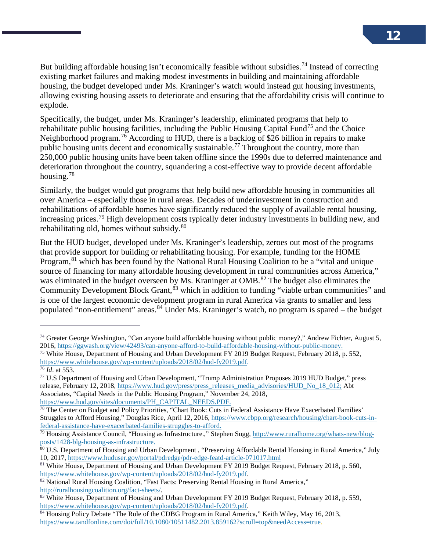But building affordable housing isn't economically feasible without subsidies.<sup>[74](#page-13-0)</sup> Instead of correcting existing market failures and making modest investments in building and maintaining affordable housing, the budget developed under Ms. Kraninger's watch would instead gut housing investments, allowing existing housing assets to deteriorate and ensuring that the affordability crisis will continue to explode.

Specifically, the budget, under Ms. Kraninger's leadership, eliminated programs that help to rehabilitate public housing facilities, including the Public Housing Capital Fund[75](#page-13-1) and the Choice Neighborhood program.<sup>[76](#page-13-2)</sup> According to HUD, there is a backlog of \$26 billion in repairs to make public housing units decent and economically sustainable.[77](#page-13-3) Throughout the country, more than 250,000 public housing units have been taken offline since the 1990s due to deferred maintenance and deterioration throughout the country, squandering a cost-effective way to provide decent affordable housing.[78](#page-13-4)

Similarly, the budget would gut programs that help build new affordable housing in communities all over America – especially those in rural areas. Decades of underinvestment in construction and rehabilitations of affordable homes have significantly reduced the supply of available rental housing, increasing prices.<sup>[79](#page-13-5)</sup> High development costs typically deter industry investments in building new, and rehabilitating old, homes without subsidy.<sup>[80](#page-13-6)</sup>

But the HUD budget, developed under Ms. Kraninger's leadership, zeroes out most of the programs that provide support for building or rehabilitating housing. For example, funding for the HOME Program,<sup>[81](#page-13-7)</sup> which has been found by the National Rural Housing Coalition to be a "vital and unique source of financing for many affordable housing development in rural communities across America," was eliminated in the budget overseen by Ms. Kraninger at OMB.<sup>[82](#page-13-8)</sup> The budget also eliminates the Community Development Block Grant,  $\frac{83}{3}$  $\frac{83}{3}$  $\frac{83}{3}$  which in addition to funding "viable urban communities" and is one of the largest economic development program in rural America via grants to smaller and less populated "non-entitlement" areas.[84](#page-13-10) Under Ms. Kraninger's watch, no program is spared – the budget

<span id="page-13-0"></span><sup>74</sup> Greater George Washington, "Can anyone build affordable housing without public money?," Andrew Fichter, August 5, 2016[, https://ggwash.org/view/42493/can-anyone-afford-to-build-affordable-housing-without-public-money.](https://ggwash.org/view/42493/can-anyone-afford-to-build-affordable-housing-without-public-money)

<span id="page-13-1"></span><sup>75</sup> White House, Department of Housing and Urban Development FY 2019 Budget Request, February 2018, p. 552, [https://www.whitehouse.gov/wp-content/uploads/2018/02/hud-fy2019.pdf.](https://www.whitehouse.gov/wp-content/uploads/2018/02/hud-fy2019.pdf)

<span id="page-13-2"></span><sup>76</sup> *Id*. at 553.

<span id="page-13-3"></span><sup>77</sup> U.S Department of Housing and Urban Development, "Trump Administration Proposes 2019 HUD Budget," press release, February 12, 2018, [https://www.hud.gov/press/press\\_releases\\_media\\_advisories/HUD\\_No\\_18\\_012;](https://www.hud.gov/press/press_releases_media_advisories/HUD_No_18_012) Abt Associates, "Capital Needs in the Public Housing Program," November 24, 2018, [https://www.hud.gov/sites/documents/PH\\_CAPITAL\\_NEEDS.PDF.](https://www.hud.gov/sites/documents/PH_CAPITAL_NEEDS.PDF)

<span id="page-13-4"></span> $78$  The Center on Budget and Policy Priorities, "Chart Book: Cuts in Federal Assistance Have Exacerbated Families' Struggles to Afford Housing," Douglas Rice, April 12, 2016, [https://www.cbpp.org/research/housing/chart-book-cuts-in](https://www.cbpp.org/research/housing/chart-book-cuts-in-federal-assistance-have-exacerbated-families-struggles-to-afford)[federal-assistance-have-exacerbated-families-struggles-to-afford.](https://www.cbpp.org/research/housing/chart-book-cuts-in-federal-assistance-have-exacerbated-families-struggles-to-afford)

<span id="page-13-5"></span><sup>&</sup>lt;sup>79</sup> Housing Assistance Council, "Housing as Infrastructure.," Stephen Sugg, [http://www.ruralhome.org/whats-new/blog](http://www.ruralhome.org/whats-new/blog-posts/1428-blg-housing-as-infrastructure)[posts/1428-blg-housing-as-infrastructure.](http://www.ruralhome.org/whats-new/blog-posts/1428-blg-housing-as-infrastructure)

<span id="page-13-6"></span><sup>&</sup>lt;sup>80</sup> U.S. Department of Housing and Urban Development, "Preserving Affordable Rental Housing in Rural America," July 10, 2017[, https://www.huduser.gov/portal/pdredge/pdr-edge-featd-article-071017.html](https://www.huduser.gov/portal/pdredge/pdr-edge-featd-article-071017.html)

<span id="page-13-7"></span><sup>&</sup>lt;sup>81</sup> White House, Department of Housing and Urban Development FY 2019 Budget Request, February 2018, p. 560, https://www.whitehouse.gov/wp-content/uploads/2018/02/hud-fy2019.pdf.

<span id="page-13-8"></span><sup>&</sup>lt;sup>82</sup> National Rural Housing Coalition, "Fast Facts: Preserving Rental Housing in Rural America," [http://ruralhousingcoalition.org/fact-sheets/.](http://ruralhousingcoalition.org/fact-sheets/)

<span id="page-13-9"></span><sup>83</sup> White House, Department of Housing and Urban Development FY 2019 Budget Request, February 2018, p. 559, [https://www.whitehouse.gov/wp-content/uploads/2018/02/hud-fy2019.pdf.](https://www.whitehouse.gov/wp-content/uploads/2018/02/hud-fy2019.pdf)<br><sup>84</sup> Housing Policy Debate "The Role of the CDBG Program in Rural America," Keith Wiley, May 16, 2013,

<span id="page-13-10"></span>[https://www.tandfonline.com/doi/full/10.1080/10511482.2013.859162?scroll=top&needAccess=true.](https://www.tandfonline.com/doi/full/10.1080/10511482.2013.859162?scroll=top&needAccess=true)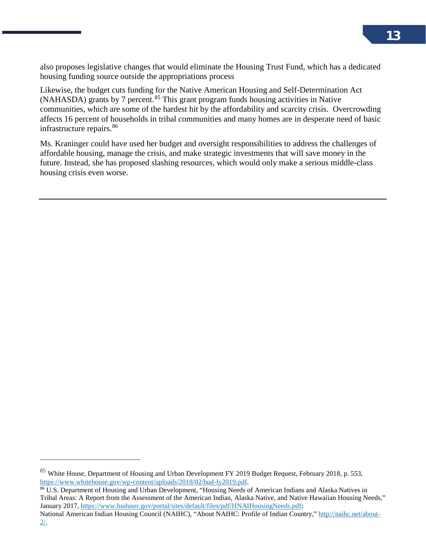also proposes legislative changes that would eliminate the Housing Trust Fund, which has a dedicated housing funding source outside the appropriations process

Likewise, the budget cuts funding for the Native American Housing and Self-Determination Act  $(NAHASDA)$  grants by 7 percent.<sup>[85](#page-14-0)</sup> This grant program funds housing activities in Native communities, which are some of the hardest hit by the affordability and scarcity crisis. Overcrowding affects 16 percent of households in tribal communities and many homes are in desperate need of basic infrastructure repairs.<sup>[86](#page-14-1)</sup>

Ms. Kraninger could have used her budget and oversight responsibilities to address the challenges of affordable housing, manage the crisis, and make strategic investments that will save money in the future. Instead, she has proposed slashing resources, which would only make a serious middle-class housing crisis even worse.

 $\overline{a}$ 

<span id="page-14-1"></span> $\frac{1}{100}$  U.S. Department of Housing and Urban Development, "Housing Needs of American Indians and Alaska Natives in Tribal Areas: A Report from the Assessment of the American Indian, Alaska Native, and Native Hawaiian Housing Needs," January 2017, [https://www.huduser.gov/portal/sites/default/files/pdf/HNAIHousingNeeds.pdf;](https://www.huduser.gov/portal/sites/default/files/pdf/HNAIHousingNeeds.pdf)

National American Indian Housing Council (NAIHC), "About NAIHC: Profile of Indian Country," [http://naihc.net/about-](http://naihc.net/about-2/) $2/$ .

<span id="page-14-0"></span><sup>&</sup>lt;sup>85</sup> White House, Department of Housing and Urban Development FY 2019 Budget Request, February 2018, p. 553, https://www.whitehouse.gov/wp-content/uploads/2018/02/hud-fy2019.pdf.